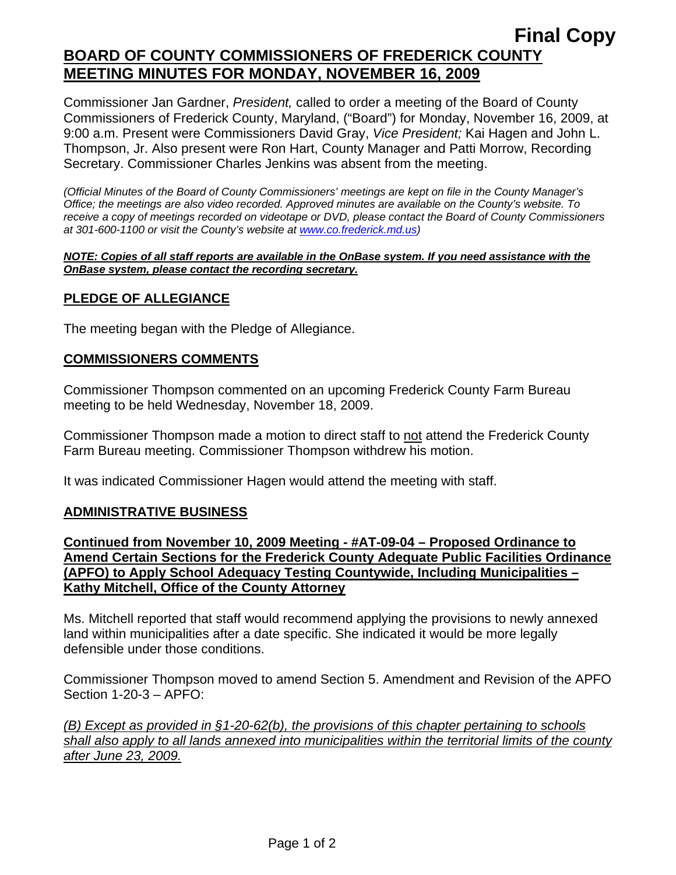# **Final Copy BOARD OF COUNTY COMMISSIONERS OF FREDERICK COUNTY MEETING MINUTES FOR MONDAY, NOVEMBER 16, 2009**

Commissioner Jan Gardner, *President,* called to order a meeting of the Board of County Commissioners of Frederick County, Maryland, ("Board") for Monday, November 16, 2009, at 9:00 a.m. Present were Commissioners David Gray, *Vice President;* Kai Hagen and John L. Thompson, Jr. Also present were Ron Hart, County Manager and Patti Morrow, Recording Secretary. Commissioner Charles Jenkins was absent from the meeting.

*(Official Minutes of the Board of County Commissioners' meetings are kept on file in the County Manager's Office; the meetings are also video recorded. Approved minutes are available on the County's website. To receive a copy of meetings recorded on videotape or DVD, please contact the Board of County Commissioners at 301-600-1100 or visit the County's website at [www.co.frederick.md.us\)](http://www.co.frederick.md.us/)* 

#### *NOTE: Copies of all staff reports are available in the OnBase system. If you need assistance with the OnBase system, please contact the recording secretary.*

### **PLEDGE OF ALLEGIANCE**

The meeting began with the Pledge of Allegiance.

### **COMMISSIONERS COMMENTS**

Commissioner Thompson commented on an upcoming Frederick County Farm Bureau meeting to be held Wednesday, November 18, 2009.

Commissioner Thompson made a motion to direct staff to not attend the Frederick County Farm Bureau meeting. Commissioner Thompson withdrew his motion.

It was indicated Commissioner Hagen would attend the meeting with staff.

### **ADMINISTRATIVE BUSINESS**

**Continued from November 10, 2009 Meeting - #AT-09-04 – Proposed Ordinance to Amend Certain Sections for the Frederick County Adequate Public Facilities Ordinance (APFO) to Apply School Adequacy Testing Countywide, Including Municipalities – Kathy Mitchell, Office of the County Attorney**

Ms. Mitchell reported that staff would recommend applying the provisions to newly annexed land within municipalities after a date specific. She indicated it would be more legally defensible under those conditions.

Commissioner Thompson moved to amend Section 5. Amendment and Revision of the APFO Section 1-20-3 – APFO:

*(B) Except as provided in §1-20-62(b), the provisions of this chapter pertaining to schools shall also apply to all lands annexed into municipalities within the territorial limits of the county after June 23, 2009.*